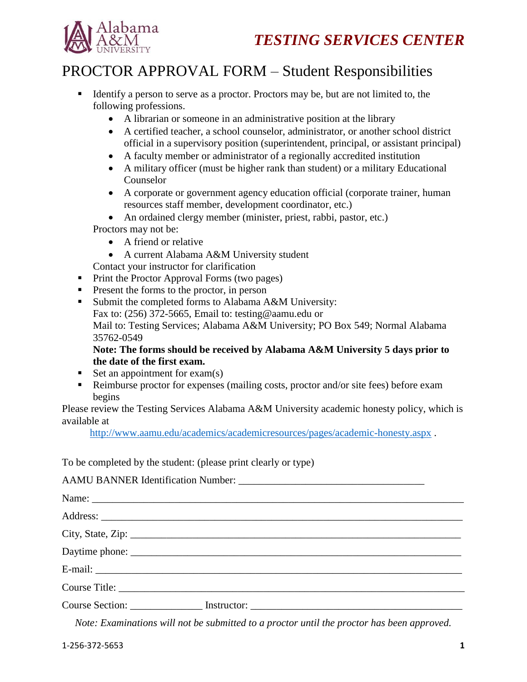



## PROCTOR APPROVAL FORM – Student Responsibilities

- Identify a person to serve as a proctor. Proctors may be, but are not limited to, the following professions.
	- A librarian or someone in an administrative position at the library
	- A certified teacher, a school counselor, administrator, or another school district official in a supervisory position (superintendent, principal, or assistant principal)
	- A faculty member or administrator of a regionally accredited institution
	- A military officer (must be higher rank than student) or a military Educational Counselor
	- A corporate or government agency education official (corporate trainer, human resources staff member, development coordinator, etc.)
	- An ordained clergy member (minister, priest, rabbi, pastor, etc.) Proctors may not be:
		- A friend or relative
		- A current Alabama A&M University student

Contact your instructor for clarification

- Print the Proctor Approval Forms (two pages)
- **Present the forms to the proctor, in person**
- Submit the completed forms to Alabama A&M University: Fax to: (256) 372-5665, Email to: testing@aamu.edu or Mail to: Testing Services; Alabama A&M University; PO Box 549; Normal Alabama 35762-0549

## **Note: The forms should be received by Alabama A&M University 5 days prior to the date of the first exam.**

- Set an appointment for  $exam(s)$
- Reimburse proctor for expenses (mailing costs, proctor and/or site fees) before exam begins

Please review the Testing Services Alabama A&M University academic honesty policy, which is available at

<http://www.aamu.edu/academics/academicresources/pages/academic-honesty.aspx> .

To be completed by the student: (please print clearly or type)

| City, State, Zip: 2008. Experience of the State of Table 2014. |  |
|----------------------------------------------------------------|--|
|                                                                |  |
|                                                                |  |
|                                                                |  |
|                                                                |  |

*Note: Examinations will not be submitted to a proctor until the proctor has been approved.*